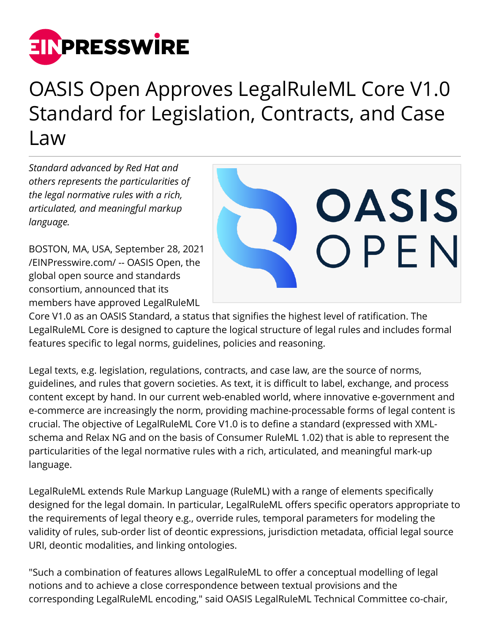

## OASIS Open Approves LegalRuleML Core V1.0 Standard for Legislation, Contracts, and Case Law

*Standard advanced by Red Hat and others represents the particularities of the legal normative rules with a rich, articulated, and meaningful markup language.*

BOSTON, MA, USA, September 28, 2021 [/EINPresswire.com/](http://www.einpresswire.com) -- OASIS Open, the global open source and standards consortium, announced that its members have approved LegalRuleML



Core V1.0 as an OASIS Standard, a status that signifies the highest level of ratification. The LegalRuleML Core is designed to capture the logical structure of legal rules and includes formal features specific to legal norms, guidelines, policies and reasoning.

Legal texts, e.g. legislation, regulations, contracts, and case law, are the source of norms, guidelines, and rules that govern societies. As text, it is difficult to label, exchange, and process content except by hand. In our current web-enabled world, where innovative e-government and e-commerce are increasingly the norm, providing machine-processable forms of legal content is crucial. The objective of LegalRuleML Core V1.0 is to define a standard (expressed with XMLschema and Relax NG and on the basis of Consumer RuleML 1.02) that is able to represent the particularities of the legal normative rules with a rich, articulated, and meaningful mark-up language.

LegalRuleML extends Rule Markup Language (RuleML) with a range of elements specifically designed for the legal domain. In particular, LegalRuleML offers specific operators appropriate to the requirements of legal theory e.g., override rules, temporal parameters for modeling the validity of rules, sub-order list of deontic expressions, jurisdiction metadata, official legal source URI, deontic modalities, and linking ontologies.

"Such a combination of features allows LegalRuleML to offer a conceptual modelling of legal notions and to achieve a close correspondence between textual provisions and the corresponding LegalRuleML encoding," said OASIS LegalRuleML Technical Committee co-chair,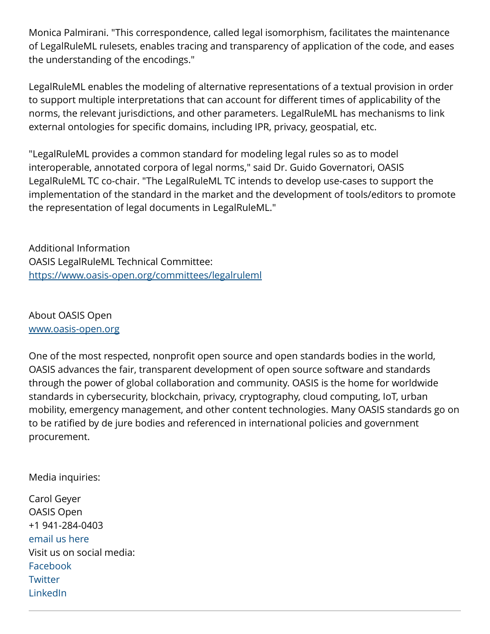Monica Palmirani. "This correspondence, called legal isomorphism, facilitates the maintenance of LegalRuleML rulesets, enables tracing and transparency of application of the code, and eases the understanding of the encodings."

LegalRuleML enables the modeling of alternative representations of a textual provision in order to support multiple interpretations that can account for different times of applicability of the norms, the relevant jurisdictions, and other parameters. LegalRuleML has mechanisms to link external ontologies for specific domains, including IPR, privacy, geospatial, etc.

"LegalRuleML provides a common standard for modeling legal rules so as to model interoperable, annotated corpora of legal norms," said Dr. Guido Governatori, OASIS LegalRuleML TC co-chair. "The LegalRuleML TC intends to develop use-cases to support the implementation of the standard in the market and the development of tools/editors to promote the representation of legal documents in LegalRuleML."

Additional Information OASIS LegalRuleML Technical Committee: <https://www.oasis-open.org/committees/legalruleml>

About OASIS Open [www.oasis-open.org](http://www.oasis-open.org)

One of the most respected, nonprofit open source and open standards bodies in the world, OASIS advances the fair, transparent development of open source software and standards through the power of global collaboration and community. OASIS is the home for worldwide standards in cybersecurity, blockchain, privacy, cryptography, cloud computing, IoT, urban mobility, emergency management, and other content technologies. Many OASIS standards go on to be ratified by de jure bodies and referenced in international policies and government procurement.

Media inquiries:

Carol Geyer OASIS Open +1 941-284-0403 [email us here](http://www.einpresswire.com/contact_author/3168688) Visit us on social media: [Facebook](https://www.facebook.com/oasis.open) **[Twitter](https://twitter.com/OASISopen)** [LinkedIn](https://www.linkedin.com/company/oasis)